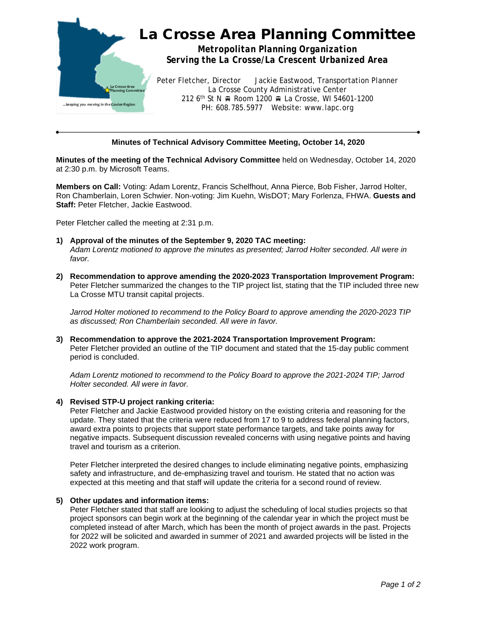

# **Minutes of Technical Advisory Committee Meeting, October 14, 2020**

**Minutes of the meeting of the Technical Advisory Committee** held on Wednesday, October 14, 2020 at 2:30 p.m. by Microsoft Teams.

**Members on Call:** Voting: Adam Lorentz, Francis Schelfhout, Anna Pierce, Bob Fisher, Jarrod Holter, Ron Chamberlain, Loren Schwier. Non-voting: Jim Kuehn, WisDOT; Mary Forlenza, FHWA. **Guests and Staff:** Peter Fletcher, Jackie Eastwood.

Peter Fletcher called the meeting at 2:31 p.m.

- **1) Approval of the minutes of the September 9, 2020 TAC meeting:** *Adam Lorentz motioned to approve the minutes as presented; Jarrod Holter seconded. All were in favor.*
- **2) Recommendation to approve amending the 2020-2023 Transportation Improvement Program:** Peter Fletcher summarized the changes to the TIP project list, stating that the TIP included three new La Crosse MTU transit capital projects.

*Jarrod Holter motioned to recommend to the Policy Board to approve amending the 2020-2023 TIP as discussed; Ron Chamberlain seconded. All were in favor.*

**3) Recommendation to approve the 2021-2024 Transportation Improvement Program:** Peter Fletcher provided an outline of the TIP document and stated that the 15-day public comment period is concluded.

*Adam Lorentz motioned to recommend to the Policy Board to approve the 2021-2024 TIP; Jarrod Holter seconded. All were in favor.*

#### **4) Revised STP-U project ranking criteria:**

Peter Fletcher and Jackie Eastwood provided history on the existing criteria and reasoning for the update. They stated that the criteria were reduced from 17 to 9 to address federal planning factors, award extra points to projects that support state performance targets, and take points away for negative impacts. Subsequent discussion revealed concerns with using negative points and having travel and tourism as a criterion.

Peter Fletcher interpreted the desired changes to include eliminating negative points, emphasizing safety and infrastructure, and de-emphasizing travel and tourism. He stated that no action was expected at this meeting and that staff will update the criteria for a second round of review.

#### **5) Other updates and information items:**

Peter Fletcher stated that staff are looking to adjust the scheduling of local studies projects so that project sponsors can begin work at the beginning of the calendar year in which the project must be completed instead of after March, which has been the month of project awards in the past. Projects for 2022 will be solicited and awarded in summer of 2021 and awarded projects will be listed in the 2022 work program.